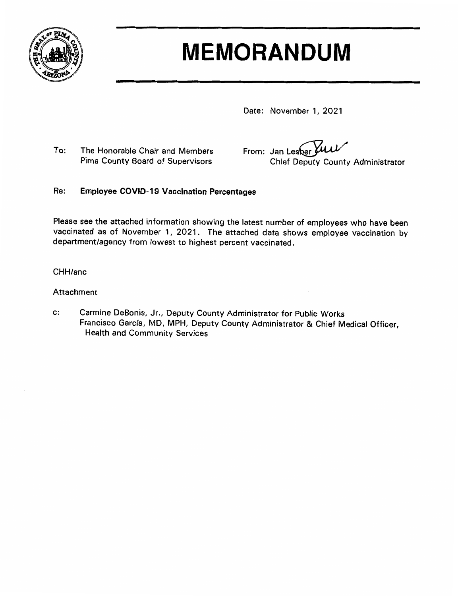

# **MEMORANDUM**

Date: November 1, 2021

To: The Honorable Chair and Members Pima County Board of Supervisors

From: Jan Lesher **Chief Deputy County Administrator** 

#### Re: **Employee COVID-19 Vaccination Percentages**

Please see the attached information showing the latest number of employees who have been vaccinated as of November 1, 2021. The attached data shows employee vaccination by department/agency from lowest to highest percent vaccinated.

CHH/anc

### Attachment

Carmine DeBonis, Jr., Deputy County Administrator for Public Works  $\mathbf{c}$ : Francisco García, MD, MPH, Deputy County Administrator & Chief Medical Officer, **Health and Community Services**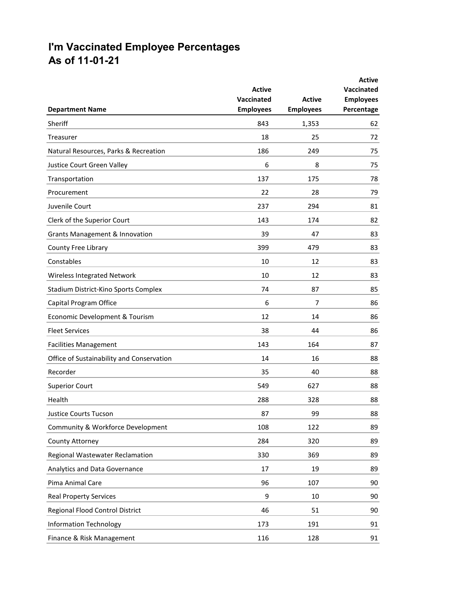## **I'm Vaccinated Employee Percentages As of 11-01-21**

| <b>Department Name</b>                    | <b>Active</b><br>Vaccinated<br><b>Employees</b> | <b>Active</b><br><b>Employees</b> | <b>Active</b><br><b>Vaccinated</b><br><b>Employees</b><br>Percentage |
|-------------------------------------------|-------------------------------------------------|-----------------------------------|----------------------------------------------------------------------|
| <b>Sheriff</b>                            | 843                                             | 1,353                             | 62                                                                   |
| Treasurer                                 | 18                                              | 25                                | 72                                                                   |
| Natural Resources, Parks & Recreation     | 186                                             | 249                               | 75                                                                   |
| Justice Court Green Valley                | 6                                               | 8                                 | 75                                                                   |
| Transportation                            | 137                                             | 175                               | 78                                                                   |
| Procurement                               | 22                                              | 28                                | 79                                                                   |
| Juvenile Court                            | 237                                             | 294                               | 81                                                                   |
| Clerk of the Superior Court               | 143                                             | 174                               | 82                                                                   |
| <b>Grants Management &amp; Innovation</b> | 39                                              | 47                                | 83                                                                   |
| County Free Library                       | 399                                             | 479                               | 83                                                                   |
| Constables                                | 10                                              | 12                                | 83                                                                   |
| Wireless Integrated Network               | 10                                              | 12                                | 83                                                                   |
| Stadium District-Kino Sports Complex      | 74                                              | 87                                | 85                                                                   |
| Capital Program Office                    | 6                                               | 7                                 | 86                                                                   |
| Economic Development & Tourism            | 12                                              | 14                                | 86                                                                   |
| <b>Fleet Services</b>                     | 38                                              | 44                                | 86                                                                   |
| <b>Facilities Management</b>              | 143                                             | 164                               | 87                                                                   |
| Office of Sustainability and Conservation | 14                                              | 16                                | 88                                                                   |
| Recorder                                  | 35                                              | 40                                | 88                                                                   |
| <b>Superior Court</b>                     | 549                                             | 627                               | 88                                                                   |
| Health                                    | 288                                             | 328                               | 88                                                                   |
| <b>Justice Courts Tucson</b>              | 87                                              | 99                                | 88                                                                   |
| Community & Workforce Development         | 108                                             | 122                               | 89                                                                   |
| County Attorney                           | 284                                             | 320                               | 89                                                                   |
| Regional Wastewater Reclamation           | 330                                             | 369                               | 89                                                                   |
| Analytics and Data Governance             | 17                                              | 19                                | 89                                                                   |
| Pima Animal Care                          | 96                                              | 107                               | 90                                                                   |
| <b>Real Property Services</b>             | 9                                               | 10                                | 90                                                                   |
| Regional Flood Control District           | 46                                              | 51                                | 90                                                                   |
| <b>Information Technology</b>             | 173                                             | 191                               | 91                                                                   |
| Finance & Risk Management                 | 116                                             | 128                               | 91                                                                   |